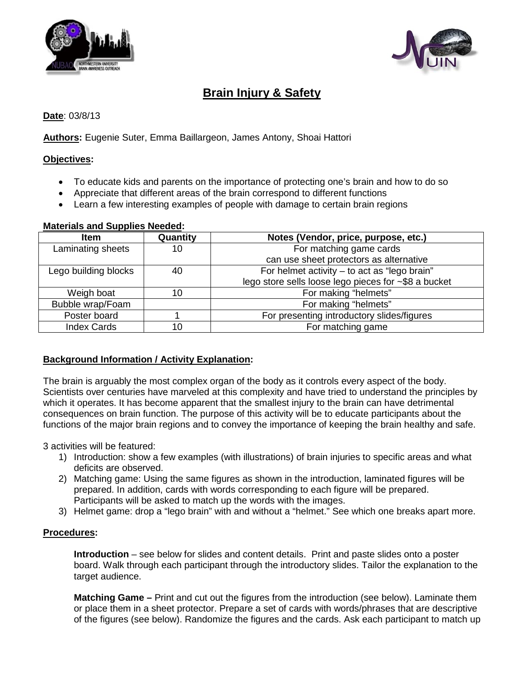



# **Brain Injury & Safety**

## **Date**: 03/8/13

**Authors:** Eugenie Suter, Emma Baillargeon, James Antony, Shoai Hattori

### **Objectives:**

- To educate kids and parents on the importance of protecting one's brain and how to do so
- Appreciate that different areas of the brain correspond to different functions
- Learn a few interesting examples of people with damage to certain brain regions

## **Materials and Supplies Needed :**

| <b>Item</b>          | Quantity | Notes (Vendor, price, purpose, etc.)                 |
|----------------------|----------|------------------------------------------------------|
| Laminating sheets    | 10       | For matching game cards                              |
|                      |          | can use sheet protectors as alternative              |
| Lego building blocks | 40       | For helmet activity - to act as "lego brain"         |
|                      |          | lego store sells loose lego pieces for ~\$8 a bucket |
| Weigh boat           | 10       | For making "helmets"                                 |
| Bubble wrap/Foam     |          | For making "helmets"                                 |
| Poster board         |          | For presenting introductory slides/figures           |
| <b>Index Cards</b>   | 10       | For matching game                                    |

### **Background Information / Activity Explanation:**

The brain is arguably the most complex organ of the body as it controls every aspect of the body. Scientists over centuries have marveled at this complexity and have tried to understand the principles by which it operates. It has become apparent that the smallest injury to the brain can have detrimental consequences on brain function. The purpose of this activity will be to educate participants about the functions of the major brain regions and to convey the importance of keeping the brain healthy and safe.

3 activities will be featured:

- 1) Introduction: show a few examples (with illustrations) of brain injuries to specific areas and what deficits are observed.
- 2) Matching game: Using the same figures as shown in the introduction, laminated figures will be prepared. In addition, cards with words corresponding to each figure will be prepared. Participants will be asked to match up the words with the images.
- 3) Helmet game: drop a "lego brain" with and without a "helmet." See which one breaks apart more.

### **Procedures:**

**Introduction** – see below for slides and content details. Print and paste slides onto a poster board. Walk through each participant through the introductory slides. Tailor the explanation to the target audience.

**Matching Game** – Print and cut out the figures from the introduction (see below). Laminate them or place them in a sheet protector. Prepare a set of cards with words/phrases that are descriptive of the figures (see below). Randomize the figures and the cards. Ask each participant to match up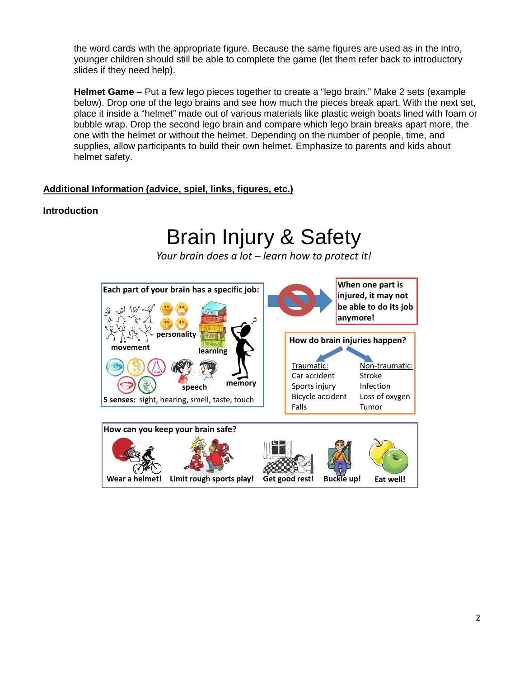the word cards with the appropriate figure. Because the same figures are used as in the intro, younger children should still be able to complete the game (let them refer back to introductory slides if they need help).

**Helmet Game** – Put a few lego pieces together to create a "lego brain." Make 2 sets (example below). Drop one of the lego brains and see how much the pieces break apart. With the next set, place it inside a "helmet" made out of various materials like plastic weigh boats lined with foam or bubble wrap. Drop the second lego brain and compare which lego brain breaks apart more, the one with the helmet or without the helmet. Depending on the number of people, time, and supplies, allow participants to build their own helmet. Emphasize to parents and kids about helmet safety.

## **Additional Information (advice, spiel, links, figures, etc.)**

### **Introduction**

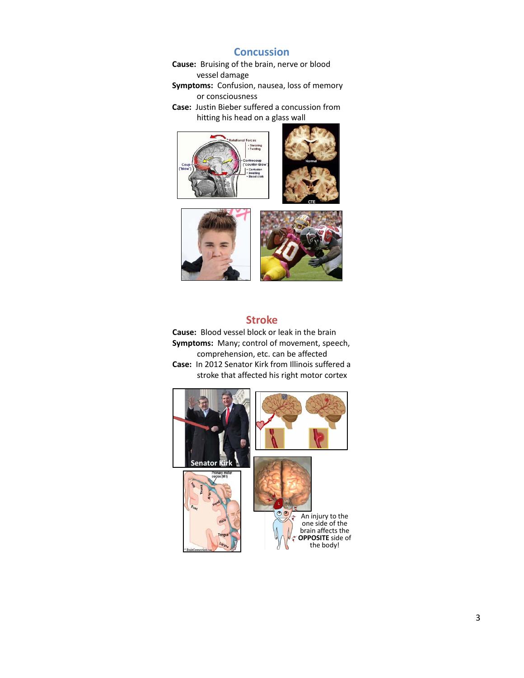## **Concussion**

**Cause:** Bruising of the brain, nerve or blood vessel damage

**Symptoms:** Confusion, nausea, loss of memory or consciousness

**Case:** Justin Bieber suffered a concussion from hitting his head on a glass wall





### **Stroke**

**Cause:** Blood vessel block or leak in the brain **Symptoms:** Many; control of movement, speech, comprehension, etc. can be affected **Case:** In 2012 Senator Kirk from Illinois suffered a stroke that affected his right motor cortex

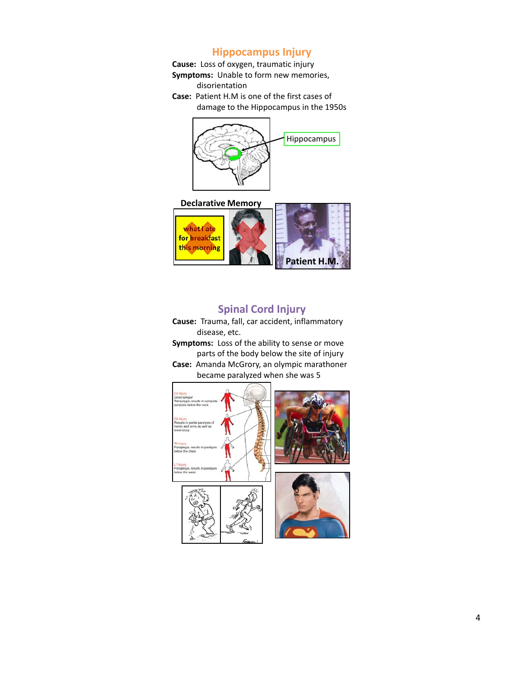## **Hippocampus Injury**

**Cause:** Loss of oxygen, traumatic injury

- **Symptoms:** Unable to form new memories, disorientation
- **Case:** Patient H.M is one of the first cases of damage to the Hippocampus in the 1950s



#### **Declarative Memory**



## **Spinal Cord Injury**

**Cause:** Trauma, fall, car accident, inflammatory disease, etc.

**Symptoms:** Loss of the ability to sense or move parts of the body below the site of injury

**Case:** Amanda McGrory, an olympic marathoner became paralyzed when she was 5





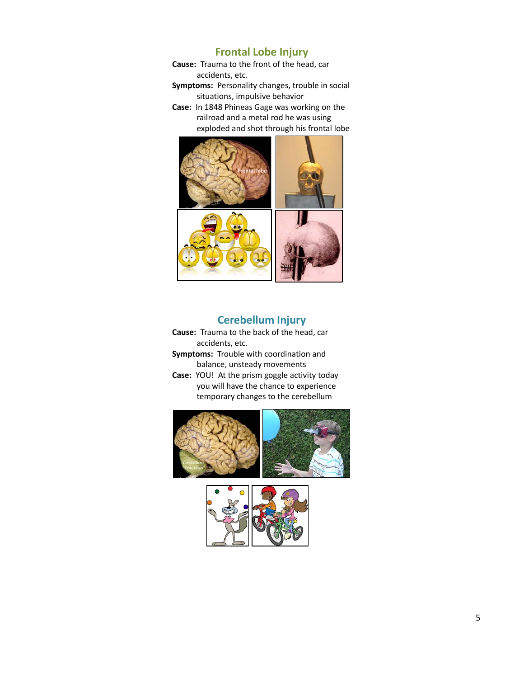## **Frontal Lobe Injury**

**Cause:** Trauma to the front of the head, car accidents, etc.

**Symptoms:** Personality changes, trouble in social situations, impulsive behavior

**Case:** In 1848 Phineas Gage was working on the railroad and a metal rod he was using exploded and shot through his frontal lobe



## **Cerebellum Injury**

- **Cause:** Trauma to the back of the head, car accidents, etc.
- **Symptoms:** Trouble with coordination and balance, unsteady movements
- **Case:** YOU! At the prism goggle activity today you will have the chance to experience temporary changes to the cerebellum



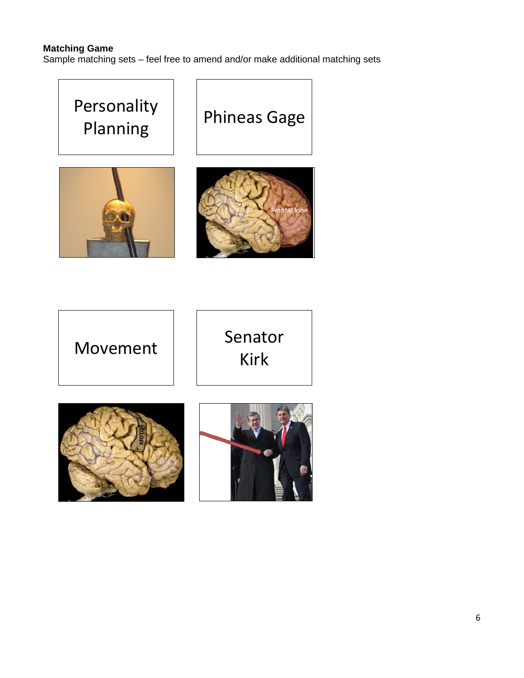## **Matching Game**

Sample matching sets – feel free to amend and/or make additional matching sets

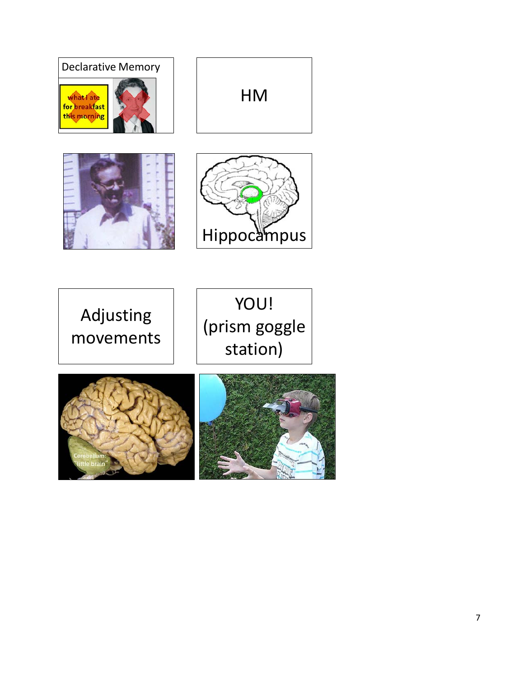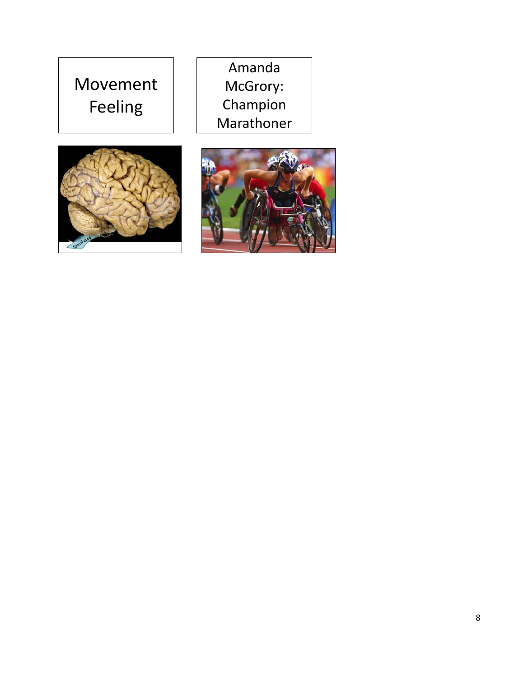